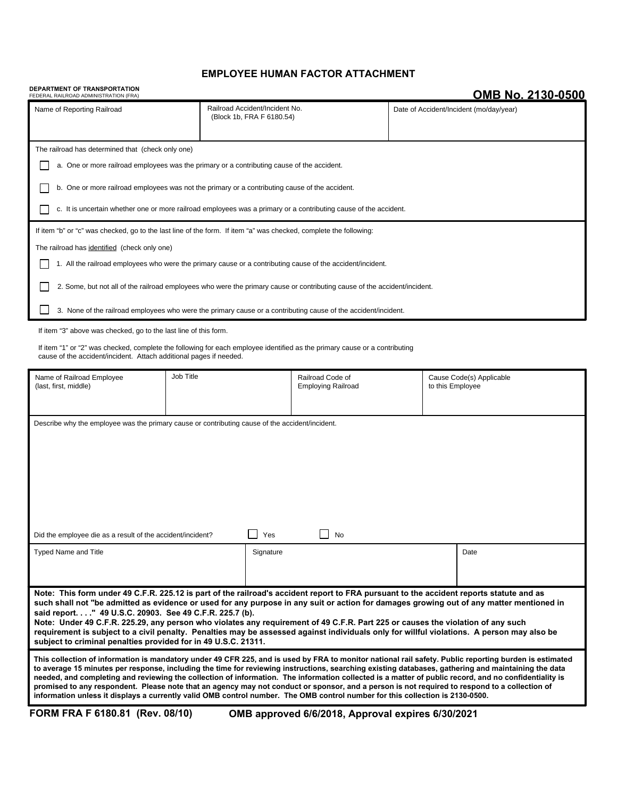# **EMPLOYEE HUMAN FACTOR ATTACHMENT**

### **DEPARTMENT OF TRANSPORTATION**

# **OMB No. 2130-0500**

| FEDERAL RAILROAD ADMINISTRATION (FRA)                                                                                                                                                                                                                                                                                                                                                                                                                                                                                                                                                          |                                                             |                                               |    |                                              |      |
|------------------------------------------------------------------------------------------------------------------------------------------------------------------------------------------------------------------------------------------------------------------------------------------------------------------------------------------------------------------------------------------------------------------------------------------------------------------------------------------------------------------------------------------------------------------------------------------------|-------------------------------------------------------------|-----------------------------------------------|----|----------------------------------------------|------|
| Name of Reporting Railroad                                                                                                                                                                                                                                                                                                                                                                                                                                                                                                                                                                     | Railroad Accident/Incident No.<br>(Block 1b, FRA F 6180.54) |                                               |    | Date of Accident/Incident (mo/day/year)      |      |
| The railroad has determined that (check only one)                                                                                                                                                                                                                                                                                                                                                                                                                                                                                                                                              |                                                             |                                               |    |                                              |      |
| a. One or more railroad employees was the primary or a contributing cause of the accident.                                                                                                                                                                                                                                                                                                                                                                                                                                                                                                     |                                                             |                                               |    |                                              |      |
| b. One or more railroad employees was not the primary or a contributing cause of the accident.                                                                                                                                                                                                                                                                                                                                                                                                                                                                                                 |                                                             |                                               |    |                                              |      |
| c. It is uncertain whether one or more railroad employees was a primary or a contributing cause of the accident.                                                                                                                                                                                                                                                                                                                                                                                                                                                                               |                                                             |                                               |    |                                              |      |
| If item "b" or "c" was checked, go to the last line of the form. If item "a" was checked, complete the following:                                                                                                                                                                                                                                                                                                                                                                                                                                                                              |                                                             |                                               |    |                                              |      |
| The railroad has identified (check only one)                                                                                                                                                                                                                                                                                                                                                                                                                                                                                                                                                   |                                                             |                                               |    |                                              |      |
| 1. All the railroad employees who were the primary cause or a contributing cause of the accident/incident.                                                                                                                                                                                                                                                                                                                                                                                                                                                                                     |                                                             |                                               |    |                                              |      |
| 2. Some, but not all of the railroad employees who were the primary cause or contributing cause of the accident/incident.                                                                                                                                                                                                                                                                                                                                                                                                                                                                      |                                                             |                                               |    |                                              |      |
| 3. None of the railroad employees who were the primary cause or a contributing cause of the accident/incident.                                                                                                                                                                                                                                                                                                                                                                                                                                                                                 |                                                             |                                               |    |                                              |      |
| If item "3" above was checked, go to the last line of this form.                                                                                                                                                                                                                                                                                                                                                                                                                                                                                                                               |                                                             |                                               |    |                                              |      |
| If item "1" or "2" was checked, complete the following for each employee identified as the primary cause or a contributing<br>cause of the accident/incident. Attach additional pages if needed.                                                                                                                                                                                                                                                                                                                                                                                               |                                                             |                                               |    |                                              |      |
| Job Title<br>Name of Railroad Employee<br>(last, first, middle)                                                                                                                                                                                                                                                                                                                                                                                                                                                                                                                                |                                                             | Railroad Code of<br><b>Employing Railroad</b> |    | Cause Code(s) Applicable<br>to this Employee |      |
|                                                                                                                                                                                                                                                                                                                                                                                                                                                                                                                                                                                                |                                                             |                                               |    |                                              |      |
| Describe why the employee was the primary cause or contributing cause of the accident/incident.                                                                                                                                                                                                                                                                                                                                                                                                                                                                                                |                                                             |                                               |    |                                              |      |
|                                                                                                                                                                                                                                                                                                                                                                                                                                                                                                                                                                                                |                                                             |                                               |    |                                              |      |
|                                                                                                                                                                                                                                                                                                                                                                                                                                                                                                                                                                                                |                                                             |                                               |    |                                              |      |
|                                                                                                                                                                                                                                                                                                                                                                                                                                                                                                                                                                                                |                                                             |                                               |    |                                              |      |
|                                                                                                                                                                                                                                                                                                                                                                                                                                                                                                                                                                                                |                                                             |                                               |    |                                              |      |
|                                                                                                                                                                                                                                                                                                                                                                                                                                                                                                                                                                                                |                                                             |                                               |    |                                              |      |
| Did the employee die as a result of the accident/incident?                                                                                                                                                                                                                                                                                                                                                                                                                                                                                                                                     |                                                             | Yes                                           | No |                                              |      |
| <b>Typed Name and Title</b>                                                                                                                                                                                                                                                                                                                                                                                                                                                                                                                                                                    |                                                             | Signature                                     |    |                                              | Date |
|                                                                                                                                                                                                                                                                                                                                                                                                                                                                                                                                                                                                |                                                             |                                               |    |                                              |      |
| Note: This form under 49 C.F.R. 225.12 is part of the railroad's accident report to FRA pursuant to the accident reports statute and as                                                                                                                                                                                                                                                                                                                                                                                                                                                        |                                                             |                                               |    |                                              |      |
| such shall not "be admitted as evidence or used for any purpose in any suit or action for damages growing out of any matter mentioned in<br>said report. " 49 U.S.C. 20903. See 49 C.F.R. 225.7 (b).                                                                                                                                                                                                                                                                                                                                                                                           |                                                             |                                               |    |                                              |      |
| Note: Under 49 C.F.R. 225.29, any person who violates any requirement of 49 C.F.R. Part 225 or causes the violation of any such<br>requirement is subject to a civil penalty. Penalties may be assessed against individuals only for willful violations. A person may also be<br>subject to criminal penalties provided for in 49 U.S.C. 21311.                                                                                                                                                                                                                                                |                                                             |                                               |    |                                              |      |
| This collection of information is mandatory under 49 CFR 225, and is used by FRA to monitor national rail safety. Public reporting burden is estimated                                                                                                                                                                                                                                                                                                                                                                                                                                         |                                                             |                                               |    |                                              |      |
| to average 15 minutes per response, including the time for reviewing instructions, searching existing databases, gathering and maintaining the data<br>needed, and completing and reviewing the collection of information. The information collected is a matter of public record, and no confidentiality is<br>promised to any respondent. Please note that an agency may not conduct or sponsor, and a person is not required to respond to a collection of<br>information unless it displays a currently valid OMB control number. The OMB control number for this collection is 2130-0500. |                                                             |                                               |    |                                              |      |
| FORM FRA F 6180.81 (Rev. 08/10)<br>OMB approved 6/6/2018, Approval expires 6/30/2021                                                                                                                                                                                                                                                                                                                                                                                                                                                                                                           |                                                             |                                               |    |                                              |      |